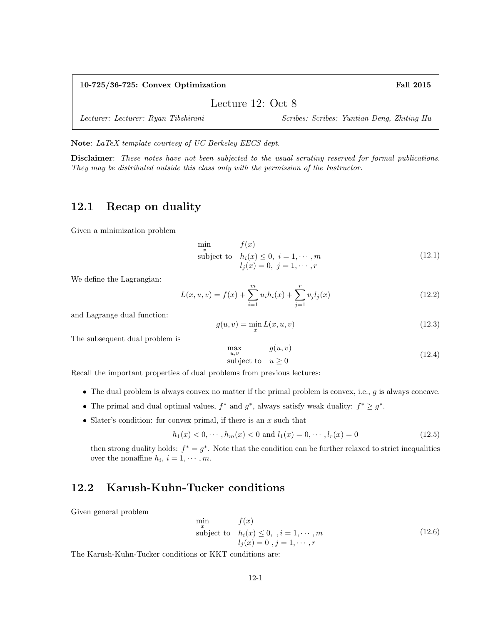#### 10-725/36-725: Convex Optimization Fall 2015

Lecture 12: Oct 8

Lecturer: Lecturer: Ryan Tibshirani Scribes: Scribes: Yuntian Deng, Zhiting Hu

Note: LaTeX template courtesy of UC Berkeley EECS dept.

Disclaimer: These notes have not been subjected to the usual scrutiny reserved for formal publications. They may be distributed outside this class only with the permission of the Instructor.

## 12.1 Recap on duality

Given a minimization problem

$$
\min_{x} \qquad f(x)
$$
\nsubject to  $h_i(x) \le 0, \quad i = 1, \dots, m$   
\n $l_j(x) = 0, \quad j = 1, \dots, r$ \n(12.1)

We define the Lagrangian:

$$
L(x, u, v) = f(x) + \sum_{i=1}^{m} u_i h_i(x) + \sum_{j=1}^{r} v_j l_j(x)
$$
\n(12.2)

and Lagrange dual function:

$$
g(u, v) = \min_{x} L(x, u, v) \tag{12.3}
$$

The subsequent dual problem is

$$
\max_{u,v} g(u,v) \nsubject to  $u \ge 0$  (12.4)
$$

Recall the important properties of dual problems from previous lectures:

- The dual problem is always convex no matter if the primal problem is convex, i.e.,  $g$  is always concave.
- The primal and dual optimal values,  $f^*$  and  $g^*$ , always satisfy weak duality:  $f^* \geq g^*$ .
- Slater's condition: for convex primal, if there is an  $x$  such that

$$
h_1(x) < 0, \cdots, h_m(x) < 0 \text{ and } l_1(x) = 0, \cdots, l_r(x) = 0 \tag{12.5}
$$

then strong duality holds:  $f^* = g^*$ . Note that the condition can be further relaxed to strict inequalities over the nonaffine  $h_i$ ,  $i = 1, \dots, m$ .

## 12.2 Karush-Kuhn-Tucker conditions

Given general problem

$$
\min_{x} f(x)
$$
\nsubject to  $h_i(x) \le 0, \quad i = 1, \dots, m$   
\n $l_j(x) = 0, \quad j = 1, \dots, r$  (12.6)

The Karush-Kuhn-Tucker conditions or KKT conditions are: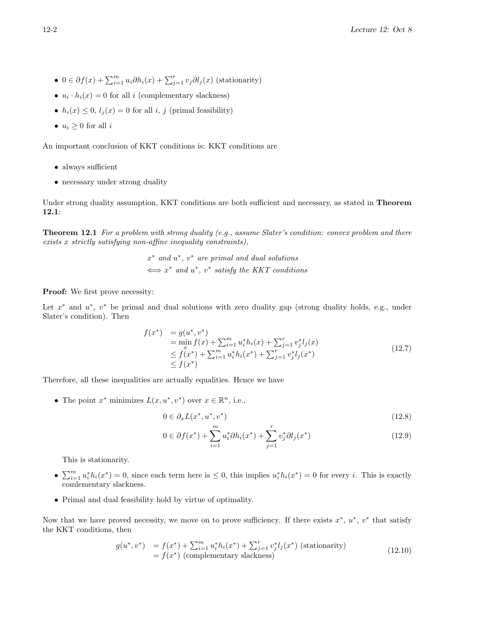- $0 \in \partial f(x) + \sum_{i=1}^m u_i \partial h_i(x) + \sum_{j=1}^r v_j \partial l_j(x)$  (stationarity)
- $u_i \cdot h_i(x) = 0$  for all i (complementary slackness)
- $h_i(x) \leq 0$ ,  $l_i(x) = 0$  for all i, j (primal feasibility)
- $u_i \geq 0$  for all  $i$

An important conclusion of KKT conditions is: KKT conditions are

- always sufficient
- necessary under strong duality

Under strong duality assumption, KKT conditions are both sufficient and necessary, as stated in **Theorem** 12.1:

**Theorem 12.1** For a problem with strong duality (e.g., assume Slater's condition: convex problem and there exists x strictly satisfying non-affine inequality constraints),

> $x^*$  and  $u^*$ ,  $v^*$  are primal and dual solutions  $\Leftrightarrow$   $x^*$  and  $u^*$ ,  $v^*$  satisfy the KKT conditions

Proof: We first prove necessity:

Let  $x^*$  and  $u^*$ ,  $v^*$  be primal and dual solutions with zero duality gap (strong duality holds, e.g., under Slater's condition). Then

$$
f(x^*) = g(u^*, v^*)
$$
  
= min  $f(x) + \sum_{i=1}^m u_i^* h_i(x) + \sum_{j=1}^r v_j^* l_j(x)$   
 $\leq f(x^*) + \sum_{i=1}^m u_i^* h_i(x^*) + \sum_{j=1}^r v_j^* l_j(x^*)$   
 $\leq f(x^*)$  (12.7)

Therefore, all these inequalities are actually equalities. Hence we have

• The point  $x^*$  minimizes  $L(x, u^*, v^*)$  over  $x \in \mathbb{R}^n$ , i.e.,

$$
0 \in \partial_x L(x^*, u^*, v^*) \tag{12.8}
$$

$$
0 \in \partial f(x^*) + \sum_{i=1}^m u_i^* \partial h_i(x^*) + \sum_{j=1}^r v_j^* \partial l_j(x^*)
$$
\n(12.9)

This is stationarity.

- $\sum_{i=1}^{m} u_i^* h_i(x^*) = 0$ , since each term here is  $\leq 0$ , this implies  $u_i^* h_i(x^*) = 0$  for every *i*. This is exactly comlementary slackness.
- Primal and dual feasibility hold by virtue of optimality.

Now that we have proved necessity, we move on to prove sufficiency. If there exists  $x^*, u^*, v^*$  that satisfy the KKT conditions, then

$$
g(u^*, v^*) = f(x^*) + \sum_{i=1}^m u_i^* h_i(x^*) + \sum_{j=1}^r v_j^* l_j(x^*)
$$
 (stationarity)  
=  $f(x^*)$  (complementary slackness) (12.10)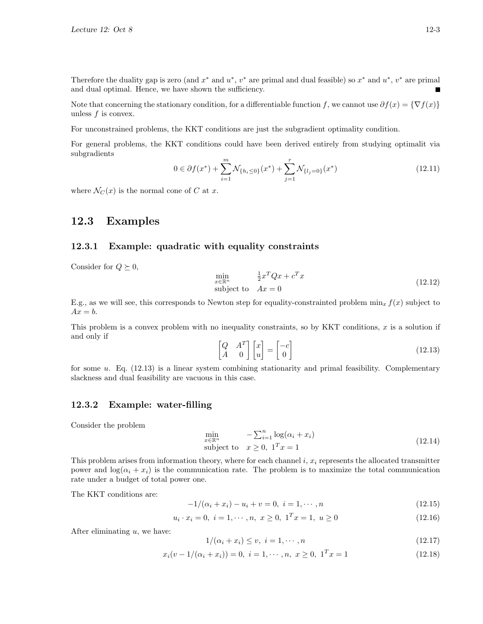Therefore the duality gap is zero (and  $x^*$  and  $u^*$ ,  $v^*$  are primal and dual feasible) so  $x^*$  and  $u^*$ ,  $v^*$  are primal and dual optimal. Hence, we have shown the sufficiency.

Note that concerning the stationary condition, for a differentiable function f, we cannot use  $\partial f(x) = \{\nabla f(x)\}\$ unless f is convex.

For unconstrained problems, the KKT conditions are just the subgradient optimality condition.

For general problems, the KKT conditions could have been derived entirely from studying optimalit via subgradients

$$
0 \in \partial f(x^*) + \sum_{i=1}^m \mathcal{N}_{\{h_i \le 0\}}(x^*) + \sum_{j=1}^r \mathcal{N}_{\{l_j = 0\}}(x^*)
$$
\n(12.11)

where  $\mathcal{N}_C(x)$  is the normal cone of C at x.

### 12.3 Examples

### 12.3.1 Example: quadratic with equality constraints

Consider for  $Q \succeq 0$ ,

$$
\min_{x \in \mathbb{R}^n} \qquad \frac{1}{2} x^T Q x + c^T x
$$
\nsubject to  $Ax = 0$ \n(12.12)

E.g., as we will see, this corresponds to Newton step for equality-constrainted problem  $\min_x f(x)$  subject to  $Ax = b$ .

This problem is a convex problem with no inequality constraints, so by KKT conditions,  $x$  is a solution if and only if

$$
\begin{bmatrix} Q & A^T \\ A & 0 \end{bmatrix} \begin{bmatrix} x \\ u \end{bmatrix} = \begin{bmatrix} -c \\ 0 \end{bmatrix}
$$
\n(12.13)

for some  $u$ . Eq. (12.13) is a linear system combining stationarity and primal feasibility. Complementary slackness and dual feasibility are vacuous in this case.

#### 12.3.2 Example: water-filling

Consider the problem

$$
\min_{x \in \mathbb{R}^n} \qquad -\sum_{i=1}^n \log(\alpha_i + x_i)
$$
\nsubject to 
$$
x \ge 0, \quad 1^T x = 1
$$
\n
$$
(12.14)
$$

This problem arises from information theory, where for each channel  $i, x_i$  represents the allocated transmitter power and  $\log(\alpha_i + x_i)$  is the communication rate. The problem is to maximize the total communication rate under a budget of total power one.

The KKT conditions are:

$$
-1/(\alpha_i + x_i) - u_i + v = 0, \ i = 1, \cdots, n
$$
\n(12.15)

$$
u_i \cdot x_i = 0, \ i = 1, \cdots, n, \ x \ge 0, \ 1^T x = 1, \ u \ge 0 \tag{12.16}
$$

After eliminating  $u$ , we have:

$$
1/(\alpha_i + x_i) \le v, \quad i = 1, \cdots, n \tag{12.17}
$$

$$
x_i(v - 1/(\alpha_i + x_i)) = 0, \ i = 1, \cdots, n, \ x \ge 0, \ 1^T x = 1 \tag{12.18}
$$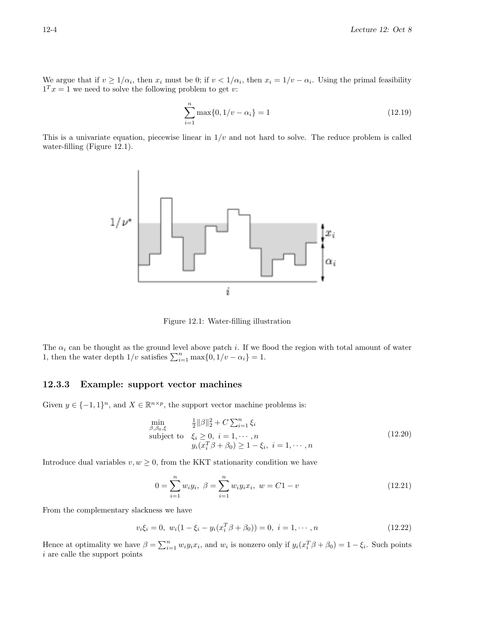We argue that if  $v \ge 1/\alpha_i$ , then  $x_i$  must be 0; if  $v < 1/\alpha_i$ , then  $x_i = 1/v - \alpha_i$ . Using the primal feasibility  $1^T x = 1$  we need to solve the following problem to get v:

$$
\sum_{i=1}^{n} \max\{0, 1/v - \alpha_i\} = 1
$$
\n(12.19)

This is a univariate equation, piecewise linear in  $1/v$  and not hard to solve. The reduce problem is called water-filling (Figure 12.1).



Figure 12.1: Water-filling illustration

The  $\alpha_i$  can be thought as the ground level above patch i. If we flood the region with total amount of water 1, then the water depth  $1/v$  satisfies  $\sum_{i=1}^{n} \max\{0, 1/v - \alpha_i\} = 1$ .

#### 12.3.3 Example: support vector machines

Given  $y \in \{-1,1\}^n$ , and  $X \in \mathbb{R}^{n \times p}$ , the support vector machine problems is:

$$
\min_{\beta,\beta_0,\xi} \quad \frac{1}{2} \|\beta\|_2^2 + C \sum_{i=1}^n \xi_i
$$
\n
$$
\text{subject to} \quad \xi_i \ge 0, \ i = 1, \cdots, n
$$
\n
$$
y_i(x_i^T \beta + \beta_0) \ge 1 - \xi_i, \ i = 1, \cdots, n
$$
\n(12.20)

Introduce dual variables  $v, w \geq 0$ , from the KKT stationarity condition we have

$$
0 = \sum_{i=1}^{n} w_i y_i, \ \beta = \sum_{i=1}^{n} w_i y_i x_i, \ w = C1 - v \tag{12.21}
$$

From the complementary slackness we have

$$
v_i \xi_i = 0, \ w_i (1 - \xi_i - y_i (x_i^T \beta + \beta_0)) = 0, \ i = 1, \cdots, n
$$
\n(12.22)

Hence at optimality we have  $\beta = \sum_{i=1}^n w_i y_i x_i$ , and  $w_i$  is nonzero only if  $y_i(x_i^T \beta + \beta_0) = 1 - \xi_i$ . Such points  $i$  are calle the support points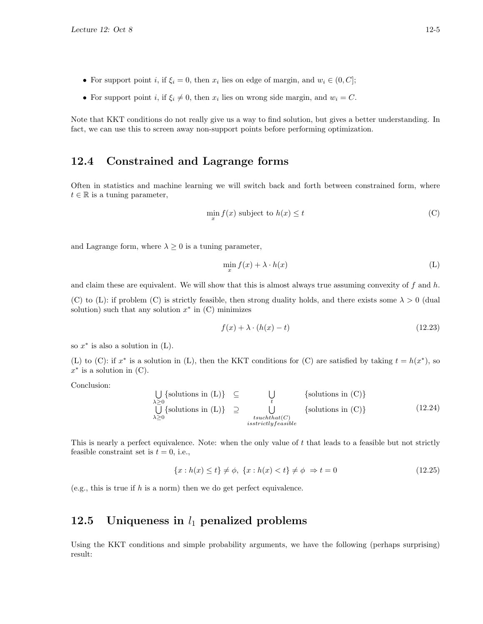- For support point *i*, if  $\xi_i = 0$ , then  $x_i$  lies on edge of margin, and  $w_i \in (0, C]$ ;
- For support point *i*, if  $\xi_i \neq 0$ , then  $x_i$  lies on wrong side margin, and  $w_i = C$ .

Note that KKT conditions do not really give us a way to find solution, but gives a better understanding. In fact, we can use this to screen away non-support points before performing optimization.

### 12.4 Constrained and Lagrange forms

Often in statistics and machine learning we will switch back and forth between constrained form, where  $t \in \mathbb{R}$  is a tuning parameter,

$$
\min_{x} f(x) \text{ subject to } h(x) \le t \tag{C}
$$

and Lagrange form, where  $\lambda \geq 0$  is a tuning parameter,

$$
\min_{x} f(x) + \lambda \cdot h(x) \tag{L}
$$

and claim these are equivalent. We will show that this is almost always true assuming convexity of  $f$  and  $h$ . (C) to (L): if problem (C) is strictly feasible, then strong duality holds, and there exists some  $\lambda > 0$  (dual solution) such that any solution  $x^*$  in  $(C)$  minimizes

$$
f(x) + \lambda \cdot (h(x) - t) \tag{12.23}
$$

so  $x^*$  is also a solution in  $(L)$ .

(L) to (C): if  $x^*$  is a solution in (L), then the KKT conditions for (C) are satisfied by taking  $t = h(x^*)$ , so  $x^*$  is a solution in (C).

Conclusion:

$$
\bigcup_{\lambda \geq 0} {\text{solutions in (L)} } \subseteq \bigcup_{t} {\text{solutions in (C)} }
$$
\n
$$
\bigcup_{\lambda \geq 0} {\text{solutions in (L)} } \sup_{t} {\text{solutions in (C)} }
$$
\n
$$
\bigcup_{\text{isstrictly feasible}} {\text{solutions in (C)}}
$$
\n
$$
(12.24)
$$

This is nearly a perfect equivalence. Note: when the only value of  $t$  that leads to a feasible but not strictly feasible constraint set is  $t = 0$ , i.e.,

$$
\{x : h(x) \le t\} \ne \phi, \ \{x : h(x) < t\} \ne \phi \ \Rightarrow t = 0 \tag{12.25}
$$

(e.g., this is true if  $h$  is a norm) then we do get perfect equivalence.

# 12.5 Uniqueness in  $l_1$  penalized problems

Using the KKT conditions and simple probability arguments, we have the following (perhaps surprising) result: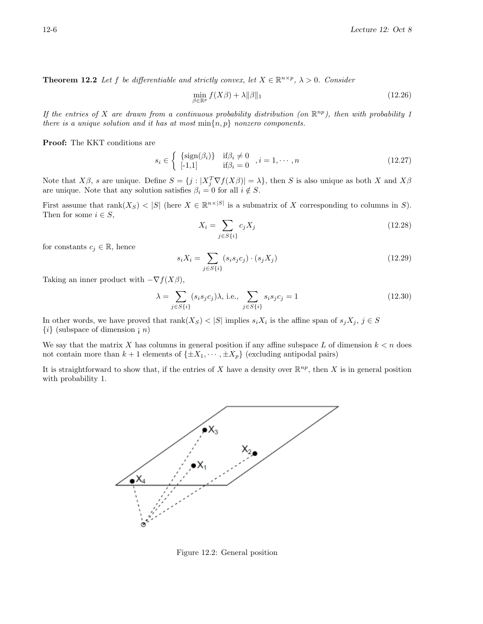**Theorem 12.2** Let f be differentiable and strictly convex, let  $X \in \mathbb{R}^{n \times p}$ ,  $\lambda > 0$ . Consider

$$
\min_{\beta \in \mathbb{R}^p} f(X\beta) + \lambda \|\beta\|_1 \tag{12.26}
$$

If the entries of X are drawn from a continuous probability distribution (on  $\mathbb{R}^{np}$ ), then with probability 1 there is a unique solution and it has at most  $\min\{n, p\}$  nonzero components.

Proof: The KKT conditions are

$$
s_i \in \left\{ \begin{array}{ll} \{\text{sign}(\beta_i)\} & \text{if } \beta_i \neq 0 \\ [-1,1] & \text{if } \beta_i = 0 \end{array} \right., i = 1, \cdots, n \tag{12.27}
$$

Note that  $X\beta$ , s are unique. Define  $S = \{j : |X_j^T \nabla f(X\beta)| = \lambda\}$ , then S is also unique as both X and  $X\beta$ are unique. Note that any solution satisfies  $\beta_i = 0$  for all  $i \notin S$ .

First assume that  $rank(X_S) < |S|$  (here  $X \in \mathbb{R}^{n \times |S|}$  is a submatrix of X corresponding to columns in S). Then for some  $i \in S$ ,

$$
X_i = \sum_{j \in S\{i\}} c_j X_j \tag{12.28}
$$

for constants  $c_j \in \mathbb{R}$ , hence

$$
s_i X_i = \sum_{j \in S\{i\}} (s_i s_j c_j) \cdot (s_j X_j) \tag{12.29}
$$

Taking an inner product with  $-\nabla f(X\beta)$ ,

$$
\lambda = \sum_{j \in S\{i\}} (s_i s_j c_j) \lambda, \text{ i.e., } \sum_{j \in S\{i\}} s_i s_j c_j = 1 \tag{12.30}
$$

In other words, we have proved that  $rank(X_S) < |S|$  implies  $s_i X_i$  is the affine span of  $s_j X_j$ ,  $j \in S$  $\{i\}$  (subspace of dimension ; *n*)

We say that the matrix X has columns in general position if any affine subspace L of dimension  $k < n$  does not contain more than  $k + 1$  elements of  $\{\pm X_1, \dots, \pm X_p\}$  (excluding antipodal pairs)

It is straightforward to show that, if the entries of X have a density over  $\mathbb{R}^{np}$ , then X is in general position with probability 1.



Figure 12.2: General position